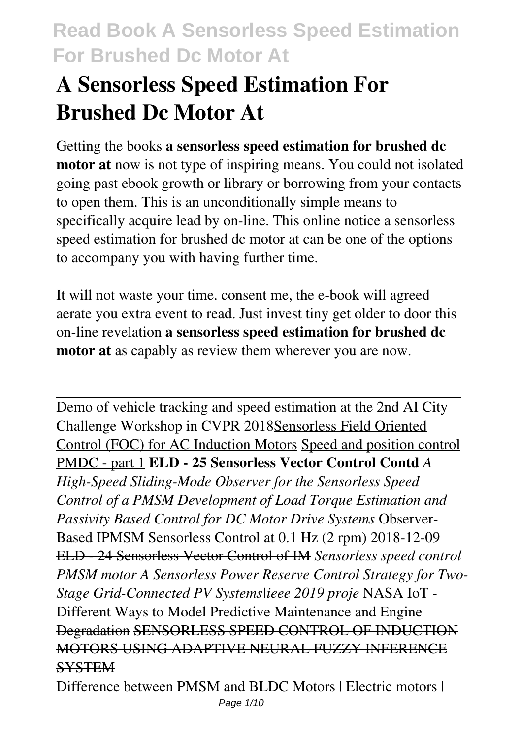# **A Sensorless Speed Estimation For Brushed Dc Motor At**

Getting the books **a sensorless speed estimation for brushed dc motor at** now is not type of inspiring means. You could not isolated going past ebook growth or library or borrowing from your contacts to open them. This is an unconditionally simple means to specifically acquire lead by on-line. This online notice a sensorless speed estimation for brushed dc motor at can be one of the options to accompany you with having further time.

It will not waste your time. consent me, the e-book will agreed aerate you extra event to read. Just invest tiny get older to door this on-line revelation **a sensorless speed estimation for brushed dc motor at** as capably as review them wherever you are now.

Demo of vehicle tracking and speed estimation at the 2nd AI City Challenge Workshop in CVPR 2018Sensorless Field Oriented Control (FOC) for AC Induction Motors Speed and position control PMDC - part 1 **ELD - 25 Sensorless Vector Control Contd** *A High-Speed Sliding-Mode Observer for the Sensorless Speed Control of a PMSM Development of Load Torque Estimation and Passivity Based Control for DC Motor Drive Systems* Observer-Based IPMSM Sensorless Control at 0.1 Hz (2 rpm) 2018-12-09 ELD - 24 Sensorless Vector Control of IM *Sensorless speed control PMSM motor A Sensorless Power Reserve Control Strategy for Two-Stage Grid-Connected PV Systems|ieee 2019 proje* NASA IoT - Different Ways to Model Predictive Maintenance and Engine Degradation SENSORLESS SPEED CONTROL OF INDUCTION MOTORS USING ADAPTIVE NEURAL FUZZY INFERENCE **SYSTEM**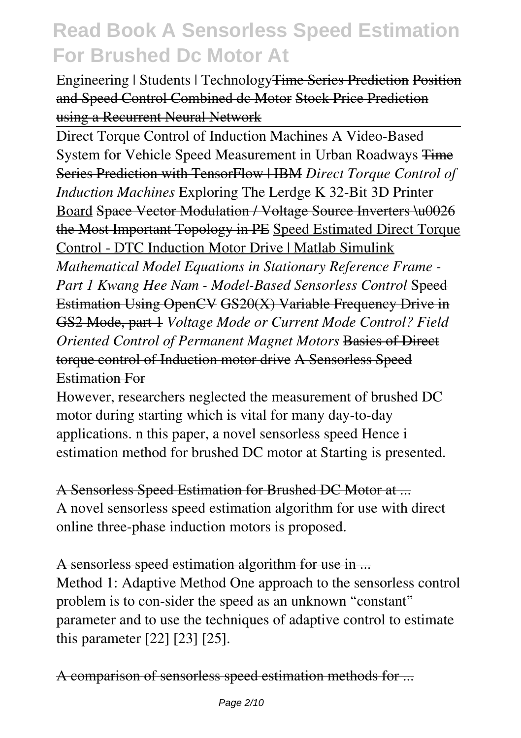Engineering | Students | TechnologyTime Series Prediction Position and Speed Control Combined dc Motor Stock Price Prediction using a Recurrent Neural Network

Direct Torque Control of Induction Machines A Video-Based System for Vehicle Speed Measurement in Urban Roadways Time Series Prediction with TensorFlow | IBM *Direct Torque Control of Induction Machines* Exploring The Lerdge K 32-Bit 3D Printer Board Space Vector Modulation / Voltage Source Inverters \u0026 the Most Important Topology in PE Speed Estimated Direct Torque Control - DTC Induction Motor Drive | Matlab Simulink

*Mathematical Model Equations in Stationary Reference Frame - Part 1 Kwang Hee Nam - Model-Based Sensorless Control* Speed Estimation Using OpenCV GS20(X) Variable Frequency Drive in GS2 Mode, part 1 *Voltage Mode or Current Mode Control? Field Oriented Control of Permanent Magnet Motors* Basics of Direct torque control of Induction motor drive A Sensorless Speed Estimation For

However, researchers neglected the measurement of brushed DC motor during starting which is vital for many day-to-day applications. n this paper, a novel sensorless speed Hence i estimation method for brushed DC motor at Starting is presented.

A Sensorless Speed Estimation for Brushed DC Motor at ... A novel sensorless speed estimation algorithm for use with direct online three-phase induction motors is proposed.

A sensorless speed estimation algorithm for use in ... Method 1: Adaptive Method One approach to the sensorless control problem is to con-sider the speed as an unknown "constant" parameter and to use the techniques of adaptive control to estimate this parameter [22] [23] [25].

A comparison of sensorless speed estimation methods for ...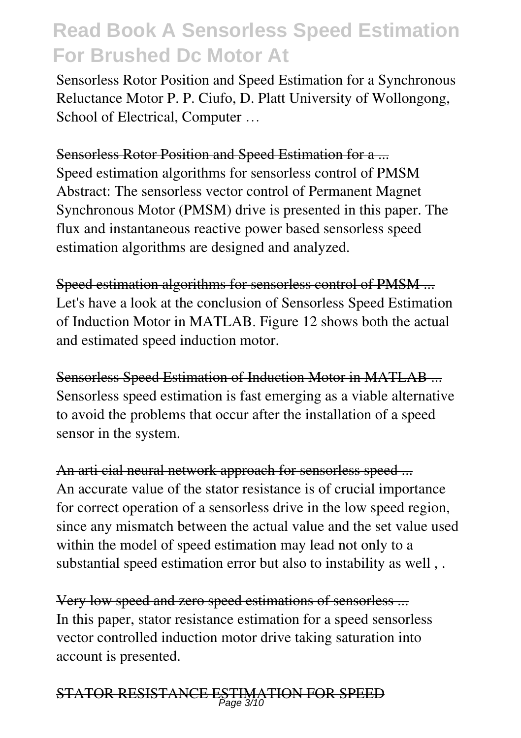Sensorless Rotor Position and Speed Estimation for a Synchronous Reluctance Motor P. P. Ciufo, D. Platt University of Wollongong, School of Electrical, Computer …

#### Sensorless Rotor Position and Speed Estimation for a ...

Speed estimation algorithms for sensorless control of PMSM Abstract: The sensorless vector control of Permanent Magnet Synchronous Motor (PMSM) drive is presented in this paper. The flux and instantaneous reactive power based sensorless speed estimation algorithms are designed and analyzed.

Speed estimation algorithms for sensorless control of PMSM ... Let's have a look at the conclusion of Sensorless Speed Estimation of Induction Motor in MATLAB. Figure 12 shows both the actual and estimated speed induction motor.

Sensorless Speed Estimation of Induction Motor in MATLAB ... Sensorless speed estimation is fast emerging as a viable alternative to avoid the problems that occur after the installation of a speed sensor in the system.

An arti cial neural network approach for sensorless speed ... An accurate value of the stator resistance is of crucial importance for correct operation of a sensorless drive in the low speed region, since any mismatch between the actual value and the set value used within the model of speed estimation may lead not only to a substantial speed estimation error but also to instability as well , .

Very low speed and zero speed estimations of sensorless ... In this paper, stator resistance estimation for a speed sensorless vector controlled induction motor drive taking saturation into account is presented.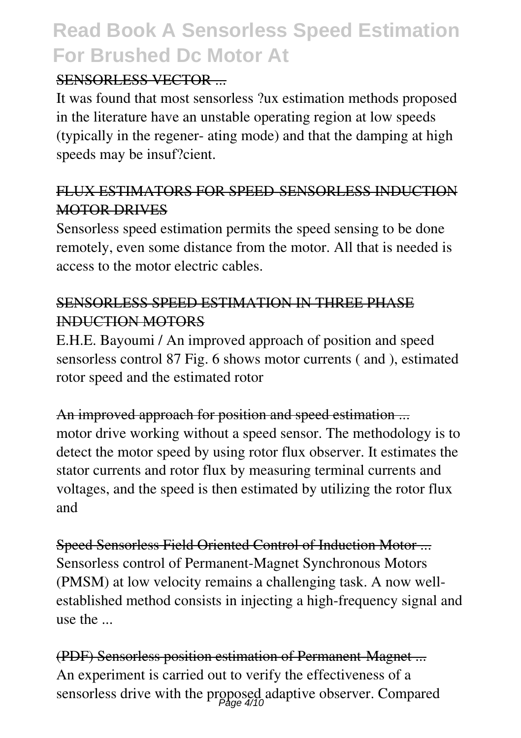#### SENSORLESS VECTOR

It was found that most sensorless ?ux estimation methods proposed in the literature have an unstable operating region at low speeds (typically in the regener- ating mode) and that the damping at high speeds may be insuf?cient.

#### FLUX ESTIMATORS FOR SPEED-SENSORLESS INDUCTION MOTOR DRIVES

Sensorless speed estimation permits the speed sensing to be done remotely, even some distance from the motor. All that is needed is access to the motor electric cables.

#### SENSORLESS SPEED ESTIMATION IN THREE PHASE INDUCTION MOTORS

E.H.E. Bayoumi / An improved approach of position and speed sensorless control 87 Fig. 6 shows motor currents ( and ), estimated rotor speed and the estimated rotor

#### An improved approach for position and speed estimation ... motor drive working without a speed sensor. The methodology is to detect the motor speed by using rotor flux observer. It estimates the stator currents and rotor flux by measuring terminal currents and voltages, and the speed is then estimated by utilizing the rotor flux and

Speed Sensorless Field Oriented Control of Induction Motor ... Sensorless control of Permanent-Magnet Synchronous Motors (PMSM) at low velocity remains a challenging task. A now wellestablished method consists in injecting a high-frequency signal and use the ...

(PDF) Sensorless position estimation of Permanent-Magnet ... An experiment is carried out to verify the effectiveness of a sensorless drive with the proposed adaptive observer. Compared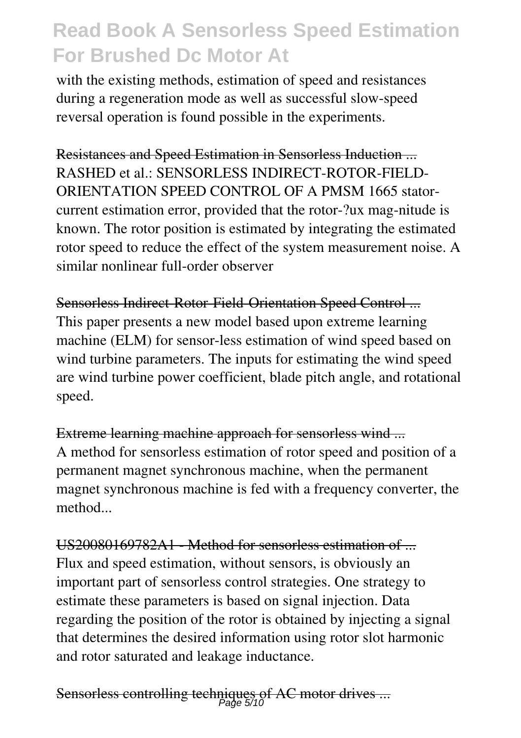with the existing methods, estimation of speed and resistances during a regeneration mode as well as successful slow-speed reversal operation is found possible in the experiments.

Resistances and Speed Estimation in Sensorless Induction ... RASHED et al.: SENSORLESS INDIRECT-ROTOR-FIELD-ORIENTATION SPEED CONTROL OF A PMSM 1665 statorcurrent estimation error, provided that the rotor-?ux mag-nitude is known. The rotor position is estimated by integrating the estimated rotor speed to reduce the effect of the system measurement noise. A similar nonlinear full-order observer

Sensorless Indirect-Rotor-Field-Orientation Speed Control ... This paper presents a new model based upon extreme learning machine (ELM) for sensor-less estimation of wind speed based on wind turbine parameters. The inputs for estimating the wind speed are wind turbine power coefficient, blade pitch angle, and rotational speed.

Extreme learning machine approach for sensorless wind ... A method for sensorless estimation of rotor speed and position of a permanent magnet synchronous machine, when the permanent magnet synchronous machine is fed with a frequency converter, the method

US20080169782A1 - Method for sensorless estimation of ... Flux and speed estimation, without sensors, is obviously an important part of sensorless control strategies. One strategy to estimate these parameters is based on signal injection. Data regarding the position of the rotor is obtained by injecting a signal that determines the desired information using rotor slot harmonic and rotor saturated and leakage inductance.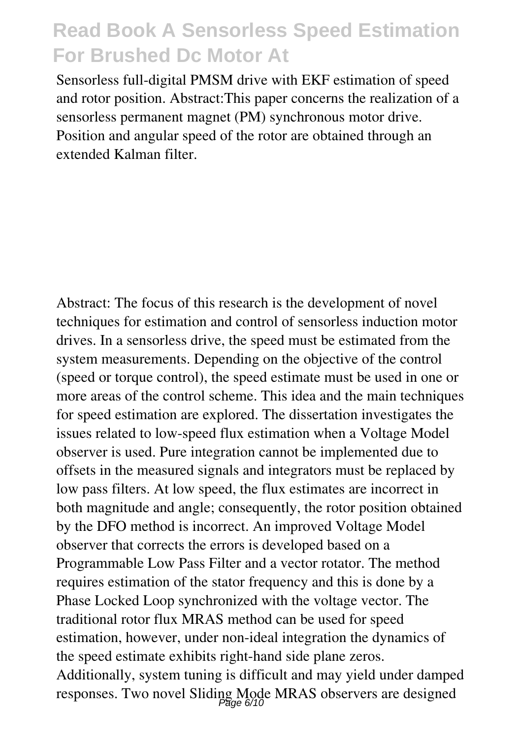Sensorless full-digital PMSM drive with EKF estimation of speed and rotor position. Abstract:This paper concerns the realization of a sensorless permanent magnet (PM) synchronous motor drive. Position and angular speed of the rotor are obtained through an extended Kalman filter.

Abstract: The focus of this research is the development of novel techniques for estimation and control of sensorless induction motor drives. In a sensorless drive, the speed must be estimated from the system measurements. Depending on the objective of the control (speed or torque control), the speed estimate must be used in one or more areas of the control scheme. This idea and the main techniques for speed estimation are explored. The dissertation investigates the issues related to low-speed flux estimation when a Voltage Model observer is used. Pure integration cannot be implemented due to offsets in the measured signals and integrators must be replaced by low pass filters. At low speed, the flux estimates are incorrect in both magnitude and angle; consequently, the rotor position obtained by the DFO method is incorrect. An improved Voltage Model observer that corrects the errors is developed based on a Programmable Low Pass Filter and a vector rotator. The method requires estimation of the stator frequency and this is done by a Phase Locked Loop synchronized with the voltage vector. The traditional rotor flux MRAS method can be used for speed estimation, however, under non-ideal integration the dynamics of the speed estimate exhibits right-hand side plane zeros. Additionally, system tuning is difficult and may yield under damped responses. Two novel Sliding Mode MRAS observers are designed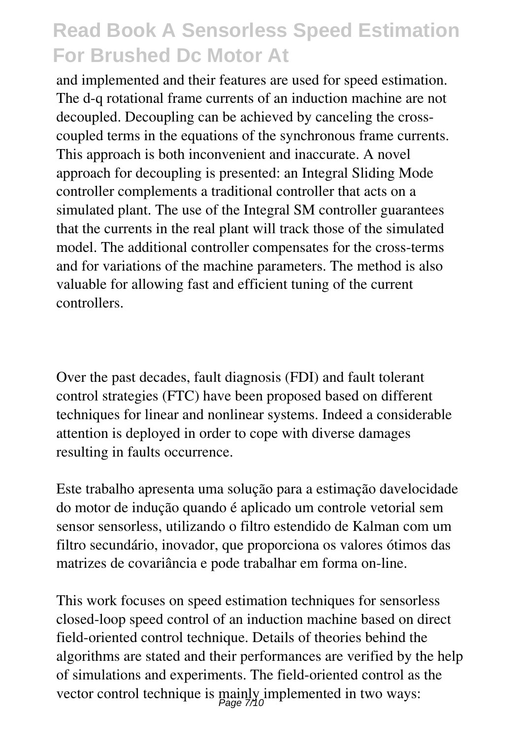and implemented and their features are used for speed estimation. The d-q rotational frame currents of an induction machine are not decoupled. Decoupling can be achieved by canceling the crosscoupled terms in the equations of the synchronous frame currents. This approach is both inconvenient and inaccurate. A novel approach for decoupling is presented: an Integral Sliding Mode controller complements a traditional controller that acts on a simulated plant. The use of the Integral SM controller guarantees that the currents in the real plant will track those of the simulated model. The additional controller compensates for the cross-terms and for variations of the machine parameters. The method is also valuable for allowing fast and efficient tuning of the current controllers.

Over the past decades, fault diagnosis (FDI) and fault tolerant control strategies (FTC) have been proposed based on different techniques for linear and nonlinear systems. Indeed a considerable attention is deployed in order to cope with diverse damages resulting in faults occurrence.

Este trabalho apresenta uma solução para a estimação davelocidade do motor de indução quando é aplicado um controle vetorial sem sensor sensorless, utilizando o filtro estendido de Kalman com um filtro secundário, inovador, que proporciona os valores ótimos das matrizes de covariância e pode trabalhar em forma on-line.

This work focuses on speed estimation techniques for sensorless closed-loop speed control of an induction machine based on direct field-oriented control technique. Details of theories behind the algorithms are stated and their performances are verified by the help of simulations and experiments. The field-oriented control as the vector control technique is mainly implemented in two ways: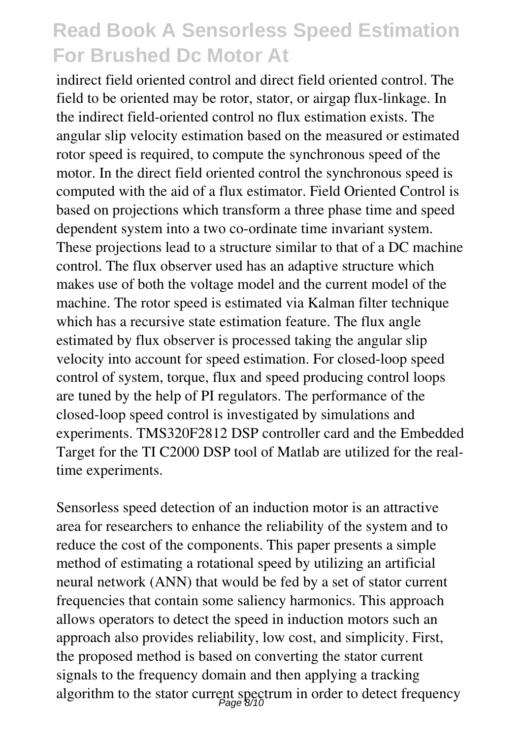indirect field oriented control and direct field oriented control. The field to be oriented may be rotor, stator, or airgap flux-linkage. In the indirect field-oriented control no flux estimation exists. The angular slip velocity estimation based on the measured or estimated rotor speed is required, to compute the synchronous speed of the motor. In the direct field oriented control the synchronous speed is computed with the aid of a flux estimator. Field Oriented Control is based on projections which transform a three phase time and speed dependent system into a two co-ordinate time invariant system. These projections lead to a structure similar to that of a DC machine control. The flux observer used has an adaptive structure which makes use of both the voltage model and the current model of the machine. The rotor speed is estimated via Kalman filter technique which has a recursive state estimation feature. The flux angle estimated by flux observer is processed taking the angular slip velocity into account for speed estimation. For closed-loop speed control of system, torque, flux and speed producing control loops are tuned by the help of PI regulators. The performance of the closed-loop speed control is investigated by simulations and experiments. TMS320F2812 DSP controller card and the Embedded Target for the TI C2000 DSP tool of Matlab are utilized for the realtime experiments.

Sensorless speed detection of an induction motor is an attractive area for researchers to enhance the reliability of the system and to reduce the cost of the components. This paper presents a simple method of estimating a rotational speed by utilizing an artificial neural network (ANN) that would be fed by a set of stator current frequencies that contain some saliency harmonics. This approach allows operators to detect the speed in induction motors such an approach also provides reliability, low cost, and simplicity. First, the proposed method is based on converting the stator current signals to the frequency domain and then applying a tracking algorithm to the stator current spectrum in order to detect frequency Page 8/10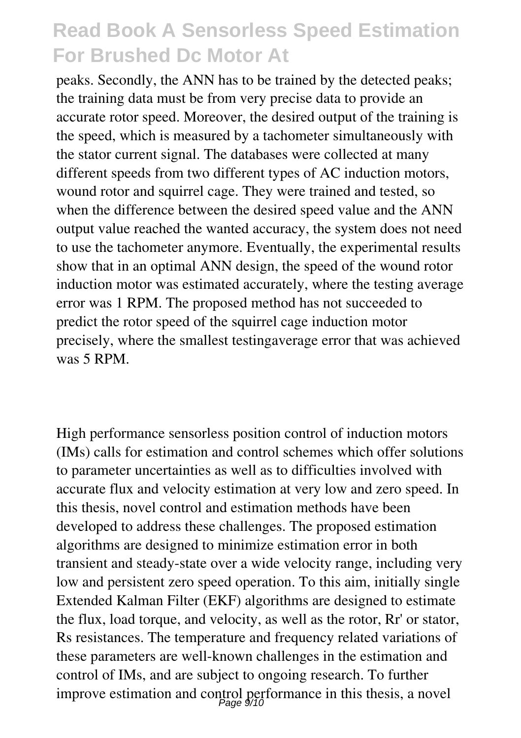peaks. Secondly, the ANN has to be trained by the detected peaks; the training data must be from very precise data to provide an accurate rotor speed. Moreover, the desired output of the training is the speed, which is measured by a tachometer simultaneously with the stator current signal. The databases were collected at many different speeds from two different types of AC induction motors, wound rotor and squirrel cage. They were trained and tested, so when the difference between the desired speed value and the ANN output value reached the wanted accuracy, the system does not need to use the tachometer anymore. Eventually, the experimental results show that in an optimal ANN design, the speed of the wound rotor induction motor was estimated accurately, where the testing average error was 1 RPM. The proposed method has not succeeded to predict the rotor speed of the squirrel cage induction motor precisely, where the smallest testingaverage error that was achieved was 5 RPM.

High performance sensorless position control of induction motors (IMs) calls for estimation and control schemes which offer solutions to parameter uncertainties as well as to difficulties involved with accurate flux and velocity estimation at very low and zero speed. In this thesis, novel control and estimation methods have been developed to address these challenges. The proposed estimation algorithms are designed to minimize estimation error in both transient and steady-state over a wide velocity range, including very low and persistent zero speed operation. To this aim, initially single Extended Kalman Filter (EKF) algorithms are designed to estimate the flux, load torque, and velocity, as well as the rotor, Rr' or stator, Rs resistances. The temperature and frequency related variations of these parameters are well-known challenges in the estimation and control of IMs, and are subject to ongoing research. To further improve estimation and control performance in this thesis, a novel